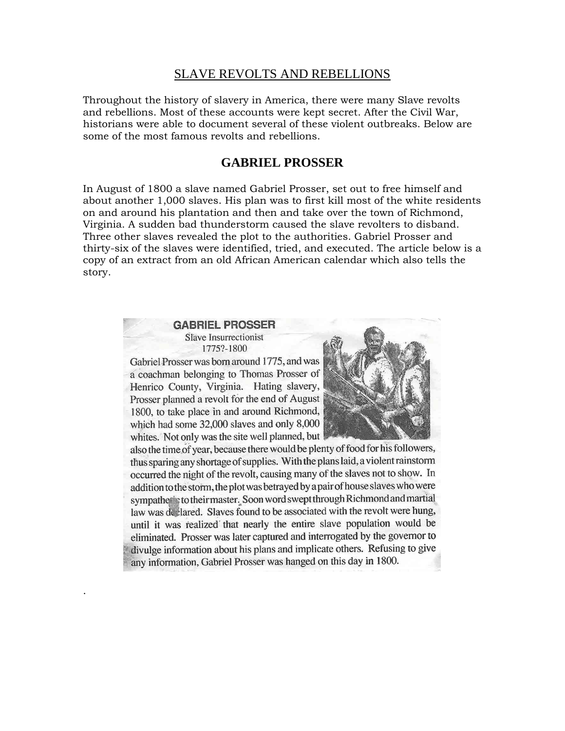### SLAVE REVOLTS AND REBELLIONS

Throughout the history of slavery in America, there were many Slave revolts and rebellions. Most of these accounts were kept secret. After the Civil War, historians were able to document several of these violent outbreaks. Below are some of the most famous revolts and rebellions.

### **GABRIEL PROSSER**

In August of 1800 a slave named Gabriel Prosser, set out to free himself and about another 1,000 slaves. His plan was to first kill most of the white residents on and around his plantation and then and take over the town of Richmond, Virginia. A sudden bad thunderstorm caused the slave revolters to disband. Three other slaves revealed the plot to the authorities. Gabriel Prosser and thirty-six of the slaves were identified, tried, and executed. The article below is a copy of an extract from an old African American calendar which also tells the story.

#### **GABRIEL PROSSER** Slave Insurrectionist 1775?-1800

Gabriel Prosser was born around 1775, and was a coachman belonging to Thomas Prosser of Henrico County, Virginia. Hating slavery, Prosser planned a revolt for the end of August 1800, to take place in and around Richmond, which had some 32,000 slaves and only 8,000 whites. Not only was the site well planned, but

.



also the time of year, because there would be plenty of food for his followers, thus sparing any shortage of supplies. With the plans laid, a violent rainstorm occurred the night of the revolt, causing many of the slaves not to show. In addition to the storm, the plot was betrayed by a pair of house slaves who were sympathetic to their master. Soon word swept through Richmond and martial law was de lared. Slaves found to be associated with the revolt were hung, until it was realized that nearly the entire slave population would be eliminated. Prosser was later captured and interrogated by the governor to divulge information about his plans and implicate others. Refusing to give any information, Gabriel Prosser was hanged on this day in 1800.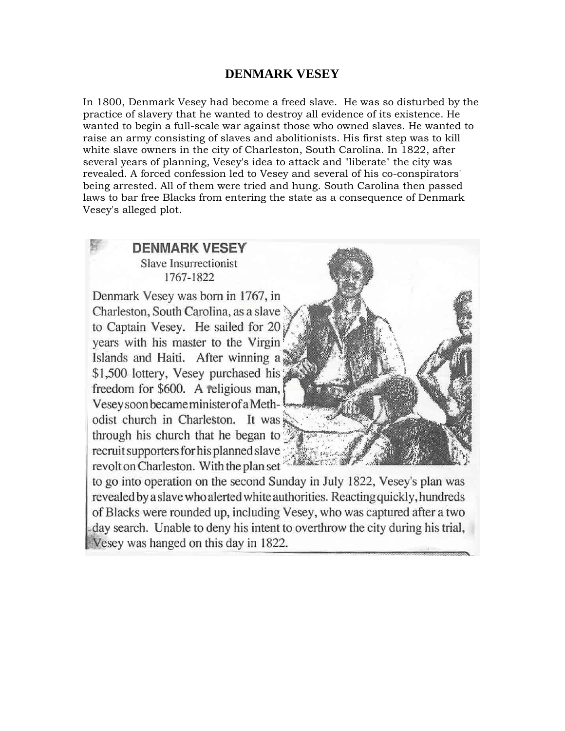## **DENMARK VESEY**

In 1800, Denmark Vesey had become a freed slave. He was so disturbed by the practice of slavery that he wanted to destroy all evidence of its existence. He wanted to begin a full-scale war against those who owned slaves. He wanted to raise an army consisting of slaves and abolitionists. His first step was to kill white slave owners in the city of Charleston, South Carolina. In 1822, after several years of planning, Vesey's idea to attack and "liberate" the city was revealed. A forced confession led to Vesey and several of his co-conspirators' being arrested. All of them were tried and hung. South Carolina then passed laws to bar free Blacks from entering the state as a consequence of Denmark Vesey's alleged plot.

# **DENMARK VESEY** Slave Insurrectionist 1767-1822 Denmark Vesey was born in 1767, in Charleston, South Carolina, as a slave to Captain Vesey. He sailed for 20 years with his master to the Virgin Islands and Haiti. After winning a \$1,500 lottery, Vesey purchased his freedom for \$600. A religious man, Vesey soon became minister of a Methodist church in Charleston. It was through his church that he began to: recruit supporters for his planned slave revolt on Charleston. With the plan set to go into operation on the second Sunday in July 1822, Vesey's plan was

revealed by a slave who alerted white authorities. Reacting quickly, hundreds of Blacks were rounded up, including Vesey, who was captured after a two day search. Unable to deny his intent to overthrow the city during his trial, Vesey was hanged on this day in 1822.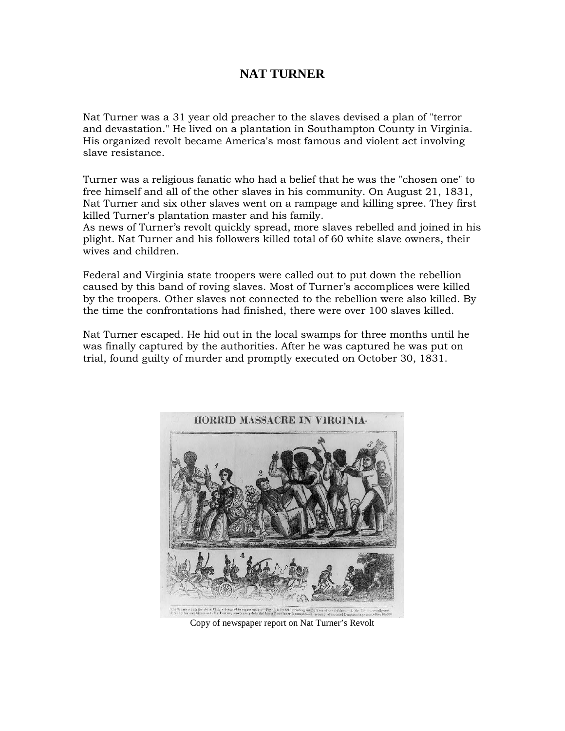# **NAT TURNER**

Nat Turner was a 31 year old preacher to the slaves devised a plan of "terror and devastation." He lived on a plantation in Southampton County in Virginia. His organized revolt became America's most famous and violent act involving slave resistance.

Turner was a religious fanatic who had a belief that he was the "chosen one" to free himself and all of the other slaves in his community. On August 21, 1831, Nat Turner and six other slaves went on a rampage and killing spree. They first killed Turner's plantation master and his family.

As news of Turner's revolt quickly spread, more slaves rebelled and joined in his plight. Nat Turner and his followers killed total of 60 white slave owners, their wives and children.

Federal and Virginia state troopers were called out to put down the rebellion caused by this band of roving slaves. Most of Turner's accomplices were killed by the troopers. Other slaves not connected to the rebellion were also killed. By the time the confrontations had finished, there were over 100 slaves killed.

Nat Turner escaped. He hid out in the local swamps for three months until he was finally captured by the authorities. After he was captured he was put on trial, found guilty of murder and promptly executed on October 30, 1831.



Copy of newspaper report on Nat Turner's Revolt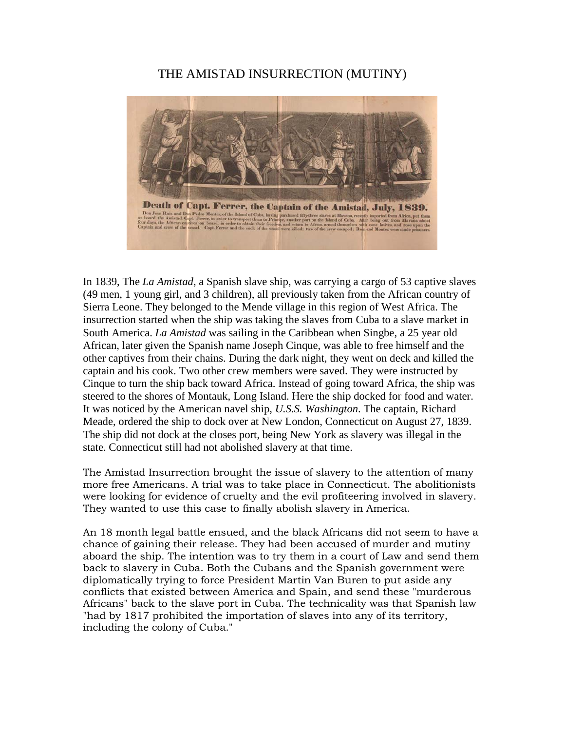## THE AMISTAD INSURRECTION (MUTINY)



In 1839, The *La Amistad*, a Spanish slave ship, was carrying a cargo of 53 captive slaves (49 men, 1 young girl, and 3 children), all previously taken from the African country of Sierra Leone. They belonged to the Mende village in this region of West Africa. The insurrection started when the ship was taking the slaves from Cuba to a slave market in South America. *La Amistad* was sailing in the Caribbean when Singbe, a 25 year old African, later given the Spanish name Joseph Cinque, was able to free himself and the other captives from their chains. During the dark night, they went on deck and killed the captain and his cook. Two other crew members were saved. They were instructed by Cinque to turn the ship back toward Africa. Instead of going toward Africa, the ship was steered to the shores of Montauk, Long Island. Here the ship docked for food and water. It was noticed by the American navel ship, *U.S.S. Washington*. The captain, Richard Meade, ordered the ship to dock over at New London, Connecticut on August 27, 1839. The ship did not dock at the closes port, being New York as slavery was illegal in the state. Connecticut still had not abolished slavery at that time.

The Amistad Insurrection brought the issue of slavery to the attention of many more free Americans. A trial was to take place in Connecticut. The abolitionists were looking for evidence of cruelty and the evil profiteering involved in slavery. They wanted to use this case to finally abolish slavery in America.

An 18 month legal battle ensued, and the black Africans did not seem to have a chance of gaining their release. They had been accused of murder and mutiny aboard the ship. The intention was to try them in a court of Law and send them back to slavery in Cuba. Both the Cubans and the Spanish government were diplomatically trying to force President Martin Van Buren to put aside any conflicts that existed between America and Spain, and send these "murderous Africans" back to the slave port in Cuba. The technicality was that Spanish law "had by 1817 prohibited the importation of slaves into any of its territory, including the colony of Cuba."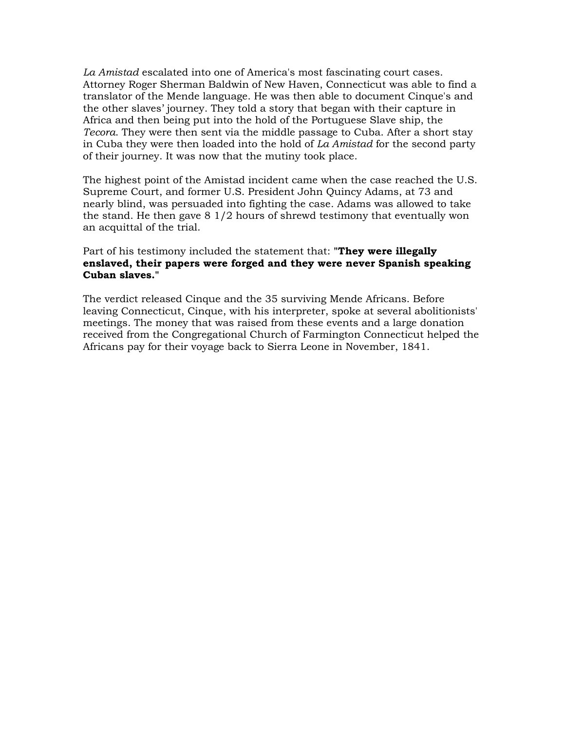*La Amistad* escalated into one of America's most fascinating court cases. Attorney Roger Sherman Baldwin of New Haven, Connecticut was able to find a translator of the Mende language. He was then able to document Cinque's and the other slaves' journey. They told a story that began with their capture in Africa and then being put into the hold of the Portuguese Slave ship, the *Tecora*. They were then sent via the middle passage to Cuba. After a short stay in Cuba they were then loaded into the hold of *La Amistad* for the second party of their journey. It was now that the mutiny took place.

The highest point of the Amistad incident came when the case reached the U.S. Supreme Court, and former U.S. President John Quincy Adams, at 73 and nearly blind, was persuaded into fighting the case. Adams was allowed to take the stand. He then gave 8 1/2 hours of shrewd testimony that eventually won an acquittal of the trial.

### Part of his testimony included the statement that: **"They were illegally enslaved, their papers were forged and they were never Spanish speaking Cuban slaves."**

The verdict released Cinque and the 35 surviving Mende Africans. Before leaving Connecticut, Cinque, with his interpreter, spoke at several abolitionists' meetings. The money that was raised from these events and a large donation received from the Congregational Church of Farmington Connecticut helped the Africans pay for their voyage back to Sierra Leone in November, 1841.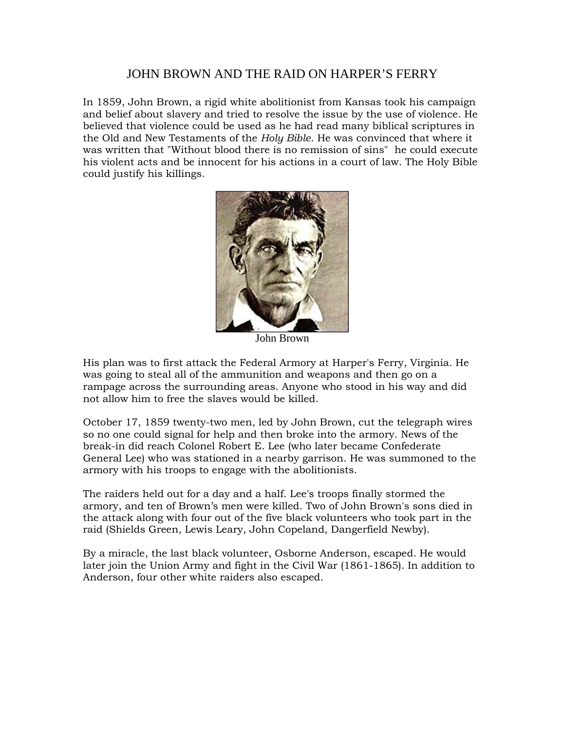### JOHN BROWN AND THE RAID ON HARPER'S FERRY

In 1859, John Brown, a rigid white abolitionist from Kansas took his campaign and belief about slavery and tried to resolve the issue by the use of violence. He believed that violence could be used as he had read many biblical scriptures in the Old and New Testaments of the *Holy Bible*. He was convinced that where it was written that "Without blood there is no remission of sins" he could execute his violent acts and be innocent for his actions in a court of law. The Holy Bible could justify his killings.



John Brown

His plan was to first attack the Federal Armory at Harper's Ferry, Virginia. He was going to steal all of the ammunition and weapons and then go on a rampage across the surrounding areas. Anyone who stood in his way and did not allow him to free the slaves would be killed.

October 17, 1859 twenty-two men, led by John Brown, cut the telegraph wires so no one could signal for help and then broke into the armory. News of the break-in did reach Colonel Robert E. Lee (who later became Confederate General Lee) who was stationed in a nearby garrison. He was summoned to the armory with his troops to engage with the abolitionists.

The raiders held out for a day and a half. Lee's troops finally stormed the armory, and ten of Brown's men were killed. Two of John Brown's sons died in the attack along with four out of the five black volunteers who took part in the raid (Shields Green, Lewis Leary, John Copeland, Dangerfield Newby).

By a miracle, the last black volunteer, Osborne Anderson, escaped. He would later join the Union Army and fight in the Civil War (1861-1865). In addition to Anderson, four other white raiders also escaped.